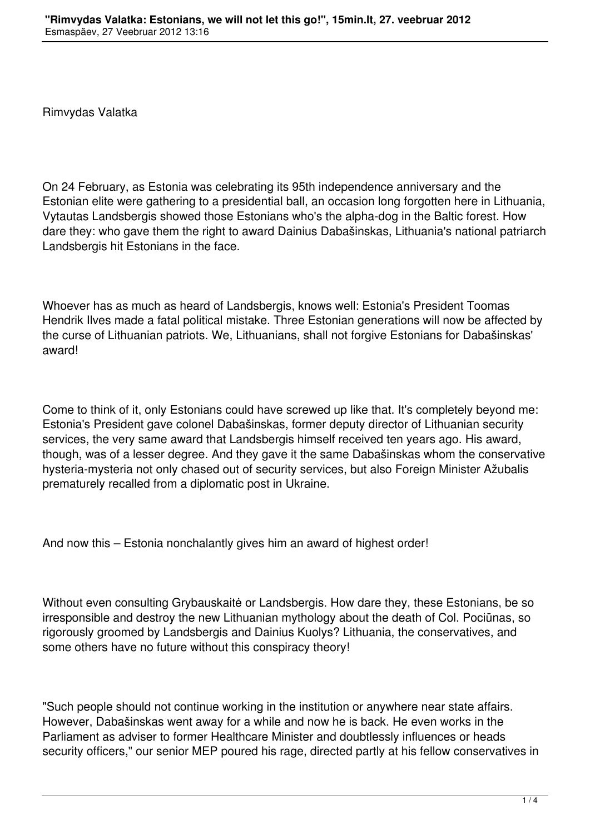Rimvydas Valatka

On 24 February, as Estonia was celebrating its 95th independence anniversary and the Estonian elite were gathering to a presidential ball, an occasion long forgotten here in Lithuania, Vytautas Landsbergis showed those Estonians who's the alpha-dog in the Baltic forest. How dare they: who gave them the right to award Dainius Dabašinskas, Lithuania's national patriarch Landsbergis hit Estonians in the face.

Whoever has as much as heard of Landsbergis, knows well: Estonia's President Toomas Hendrik Ilves made a fatal political mistake. Three Estonian generations will now be affected by the curse of Lithuanian patriots. We, Lithuanians, shall not forgive Estonians for Dabašinskas' award!

Come to think of it, only Estonians could have screwed up like that. It's completely beyond me: Estonia's President gave colonel Dabašinskas, former deputy director of Lithuanian security services, the very same award that Landsbergis himself received ten years ago. His award, though, was of a lesser degree. And they gave it the same Dabašinskas whom the conservative hysteria-mysteria not only chased out of security services, but also Foreign Minister Ažubalis prematurely recalled from a diplomatic post in Ukraine.

And now this – Estonia nonchalantly gives him an award of highest order!

Without even consulting Grybauskaitė or Landsbergis. How dare they, these Estonians, be so irresponsible and destroy the new Lithuanian mythology about the death of Col. Pociūnas, so rigorously groomed by Landsbergis and Dainius Kuolys? Lithuania, the conservatives, and some others have no future without this conspiracy theory!

"Such people should not continue working in the institution or anywhere near state affairs. However, Dabašinskas went away for a while and now he is back. He even works in the Parliament as adviser to former Healthcare Minister and doubtlessly influences or heads security officers," our senior MEP poured his rage, directed partly at his fellow conservatives in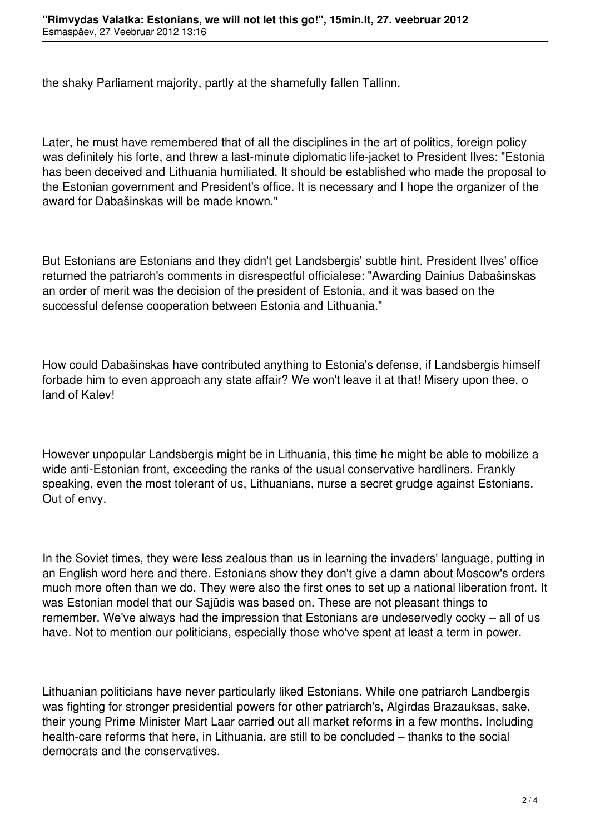the shaky Parliament majority, partly at the shamefully fallen Tallinn.

Later, he must have remembered that of all the disciplines in the art of politics, foreign policy was definitely his forte, and threw a last-minute diplomatic life-jacket to President Ilves: "Estonia has been deceived and Lithuania humiliated. It should be established who made the proposal to the Estonian government and President's office. It is necessary and I hope the organizer of the award for Dabašinskas will be made known."

But Estonians are Estonians and they didn't get Landsbergis' subtle hint. President Ilves' office returned the patriarch's comments in disrespectful officialese: "Awarding Dainius Dabašinskas an order of merit was the decision of the president of Estonia, and it was based on the successful defense cooperation between Estonia and Lithuania."

How could Dabašinskas have contributed anything to Estonia's defense, if Landsbergis himself forbade him to even approach any state affair? We won't leave it at that! Misery upon thee, o land of Kalev!

However unpopular Landsbergis might be in Lithuania, this time he might be able to mobilize a wide anti-Estonian front, exceeding the ranks of the usual conservative hardliners. Frankly speaking, even the most tolerant of us, Lithuanians, nurse a secret grudge against Estonians. Out of envy.

In the Soviet times, they were less zealous than us in learning the invaders' language, putting in an English word here and there. Estonians show they don't give a damn about Moscow's orders much more often than we do. They were also the first ones to set up a national liberation front. It was Estonian model that our Sajūdis was based on. These are not pleasant things to remember. We've always had the impression that Estonians are undeservedly cocky – all of us have. Not to mention our politicians, especially those who've spent at least a term in power.

Lithuanian politicians have never particularly liked Estonians. While one patriarch Landbergis was fighting for stronger presidential powers for other patriarch's, Algirdas Brazauksas, sake, their young Prime Minister Mart Laar carried out all market reforms in a few months. Including health-care reforms that here, in Lithuania, are still to be concluded – thanks to the social democrats and the conservatives.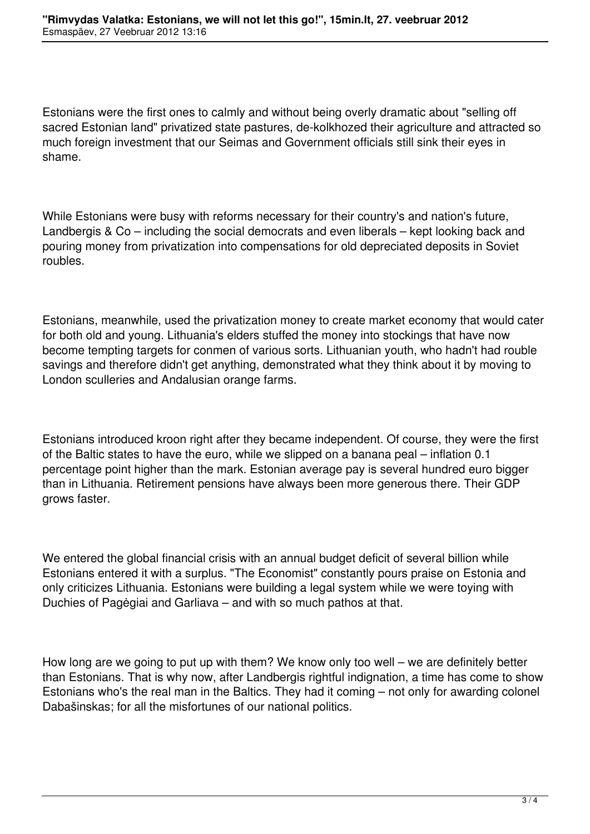Estonians were the first ones to calmly and without being overly dramatic about "selling off sacred Estonian land" privatized state pastures, de-kolkhozed their agriculture and attracted so much foreign investment that our Seimas and Government officials still sink their eyes in shame.

While Estonians were busy with reforms necessary for their country's and nation's future, Landbergis & Co – including the social democrats and even liberals – kept looking back and pouring money from privatization into compensations for old depreciated deposits in Soviet roubles.

Estonians, meanwhile, used the privatization money to create market economy that would cater for both old and young. Lithuania's elders stuffed the money into stockings that have now become tempting targets for conmen of various sorts. Lithuanian youth, who hadn't had rouble savings and therefore didn't get anything, demonstrated what they think about it by moving to London sculleries and Andalusian orange farms.

Estonians introduced kroon right after they became independent. Of course, they were the first of the Baltic states to have the euro, while we slipped on a banana peal – inflation 0.1 percentage point higher than the mark. Estonian average pay is several hundred euro bigger than in Lithuania. Retirement pensions have always been more generous there. Their GDP grows faster.

We entered the global financial crisis with an annual budget deficit of several billion while Estonians entered it with a surplus. "The Economist" constantly pours praise on Estonia and only criticizes Lithuania. Estonians were building a legal system while we were toying with Duchies of Pagėgiai and Garliava – and with so much pathos at that.

How long are we going to put up with them? We know only too well – we are definitely better than Estonians. That is why now, after Landbergis rightful indignation, a time has come to show Estonians who's the real man in the Baltics. They had it coming – not only for awarding colonel Dabašinskas; for all the misfortunes of our national politics.